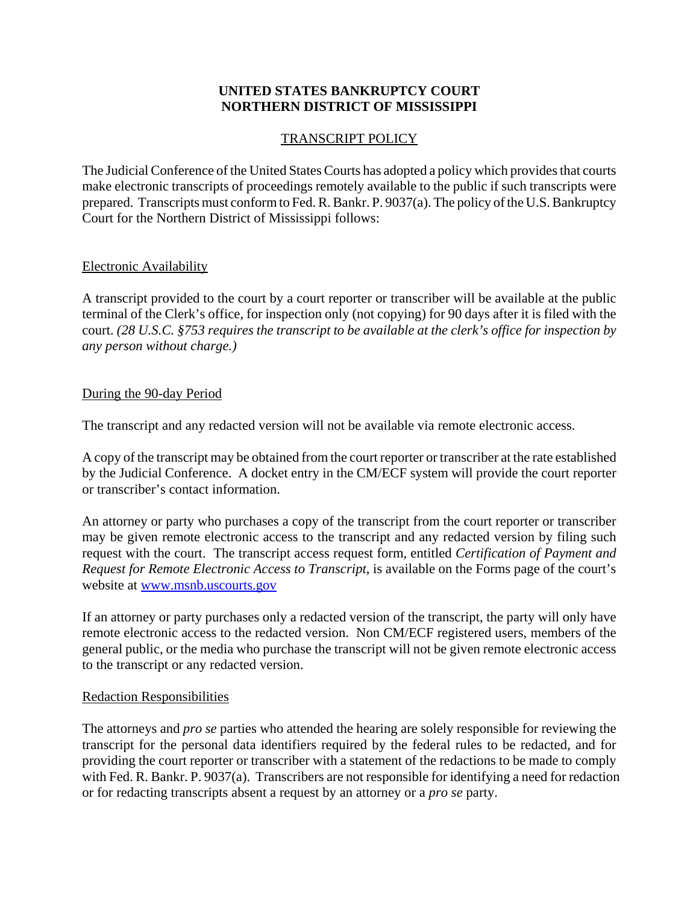# **UNITED STATES BANKRUPTCY COURT NORTHERN DISTRICT OF MISSISSIPPI**

## TRANSCRIPT POLICY

The Judicial Conference of the United States Courts has adopted a policy which provides that courts make electronic transcripts of proceedings remotely available to the public if such transcripts were prepared. Transcripts must conform to Fed. R. Bankr. P. 9037(a). The policy of the U.S. Bankruptcy Court for the Northern District of Mississippi follows:

### Electronic Availability

A transcript provided to the court by a court reporter or transcriber will be available at the public terminal of the Clerk's office, for inspection only (not copying) for 90 days after it is filed with the court. *(28 U.S.C. §753 requires the transcript to be available at the clerk's office for inspection by any person without charge.)*

### During the 90-day Period

The transcript and any redacted version will not be available via remote electronic access.

A copy of the transcript may be obtained from the court reporter or transcriber at the rate established by the Judicial Conference. A docket entry in the CM/ECF system will provide the court reporter or transcriber's contact information.

An attorney or party who purchases a copy of the transcript from the court reporter or transcriber may be given remote electronic access to the transcript and any redacted version by filing such request with the court. The transcript access request form, entitled *Certification of Payment and Request for Remote Electronic Access to Transcript*, is available on the Forms page of the court's website at www.msnb.uscourts.gov

If an attorney or party purchases only a redacted version of the transcript, the party will only have remote electronic access to the redacted version. Non CM/ECF registered users, members of the general public, or the media who purchase the transcript will not be given remote electronic access to the transcript or any redacted version.

#### Redaction Responsibilities

The attorneys and *pro se* parties who attended the hearing are solely responsible for reviewing the transcript for the personal data identifiers required by the federal rules to be redacted, and for providing the court reporter or transcriber with a statement of the redactions to be made to comply with Fed. R. Bankr. P. 9037(a). Transcribers are not responsible for identifying a need for redaction or for redacting transcripts absent a request by an attorney or a *pro se* party.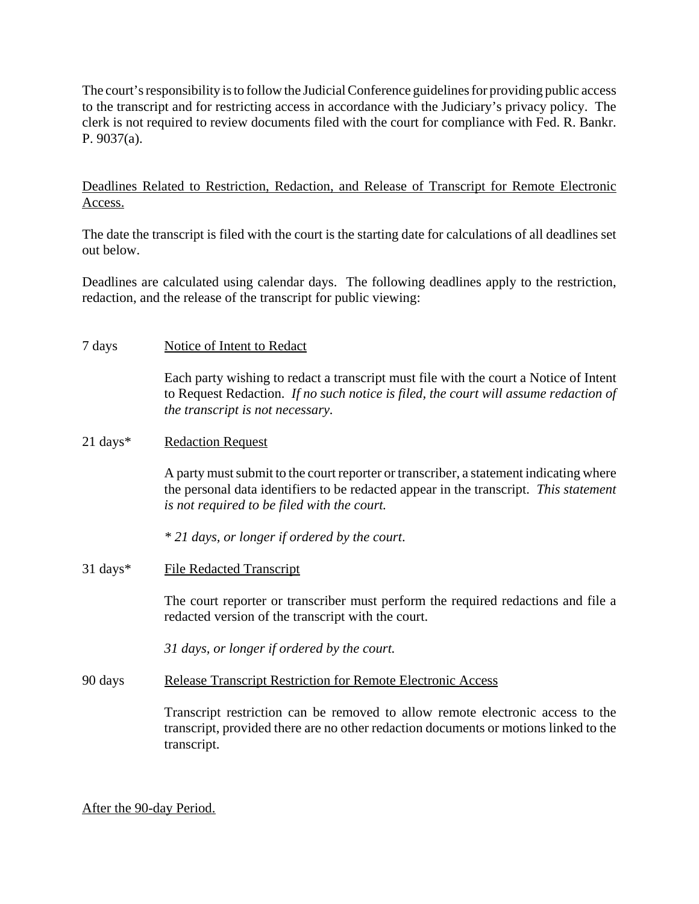The court's responsibility is to follow the Judicial Conference guidelines for providing public access to the transcript and for restricting access in accordance with the Judiciary's privacy policy. The clerk is not required to review documents filed with the court for compliance with Fed. R. Bankr. P. 9037(a).

## Deadlines Related to Restriction, Redaction, and Release of Transcript for Remote Electronic Access.

The date the transcript is filed with the court is the starting date for calculations of all deadlines set out below.

Deadlines are calculated using calendar days. The following deadlines apply to the restriction, redaction, and the release of the transcript for public viewing:

7 days Notice of Intent to Redact

Each party wishing to redact a transcript must file with the court a Notice of Intent to Request Redaction. *If no such notice is filed, the court will assume redaction of the transcript is not necessary.*

#### 21 days<sup>\*</sup> Redaction Request

A party must submit to the court reporter or transcriber, a statement indicating where the personal data identifiers to be redacted appear in the transcript. *This statement is not required to be filed with the court.*

*\* 21 days, or longer if ordered by the court*.

31 days\* File Redacted Transcript

The court reporter or transcriber must perform the required redactions and file a redacted version of the transcript with the court.

*31 days, or longer if ordered by the court.*

90 days Release Transcript Restriction for Remote Electronic Access

Transcript restriction can be removed to allow remote electronic access to the transcript, provided there are no other redaction documents or motions linked to the transcript.

After the 90-day Period.